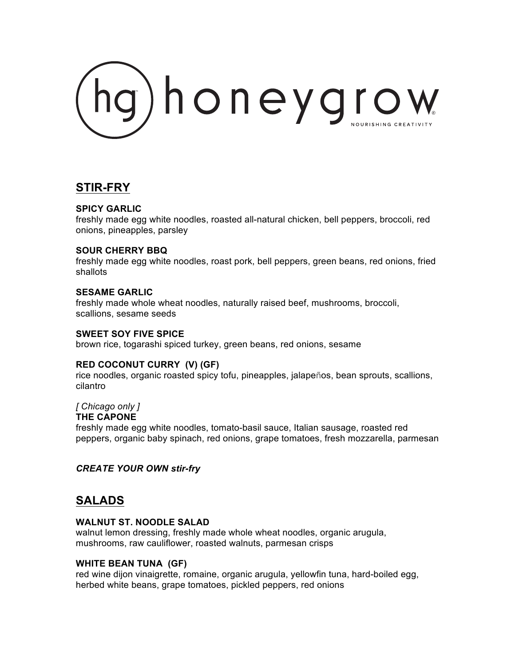

# **STIR-FRY**

### **SPICY GARLIC**

freshly made egg white noodles, roasted all-natural chicken, bell peppers, broccoli, red onions, pineapples, parsley

### **SOUR CHERRY BBQ**

freshly made egg white noodles, roast pork, bell peppers, green beans, red onions, fried shallots

#### **SESAME GARLIC**

freshly made whole wheat noodles, naturally raised beef, mushrooms, broccoli, scallions, sesame seeds

#### **SWEET SOY FIVE SPICE**

brown rice, togarashi spiced turkey, green beans, red onions, sesame

#### **RED COCONUT CURRY (V) (GF)**

rice noodles, organic roasted spicy tofu, pineapples, jalapeños, bean sprouts, scallions, cilantro

# *[ Chicago only ]*

#### **THE CAPONE**

freshly made egg white noodles, tomato-basil sauce, Italian sausage, roasted red peppers, organic baby spinach, red onions, grape tomatoes, fresh mozzarella, parmesan

# *CREATE YOUR OWN stir-fry*

# **SALADS**

#### **WALNUT ST. NOODLE SALAD**

walnut lemon dressing, freshly made whole wheat noodles, organic arugula, mushrooms, raw cauliflower, roasted walnuts, parmesan crisps

#### **WHITE BEAN TUNA (GF)**

red wine dijon vinaigrette, romaine, organic arugula, yellowfin tuna, hard-boiled egg, herbed white beans, grape tomatoes, pickled peppers, red onions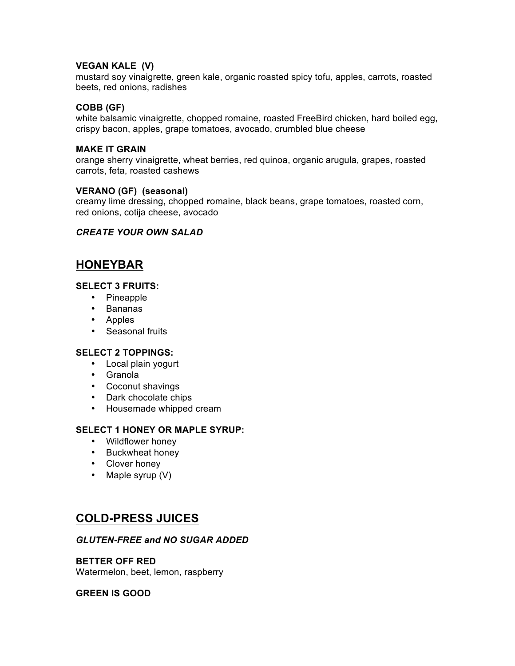### **VEGAN KALE (V)**

mustard soy vinaigrette, green kale, organic roasted spicy tofu, apples, carrots, roasted beets, red onions, radishes

### **COBB (GF)**

white balsamic vinaigrette, chopped romaine, roasted FreeBird chicken, hard boiled egg, crispy bacon, apples, grape tomatoes, avocado, crumbled blue cheese

#### **MAKE IT GRAIN**

orange sherry vinaigrette, wheat berries, red quinoa, organic arugula, grapes, roasted carrots, feta, roasted cashews

#### **VERANO (GF) (seasonal)**

creamy lime dressing**,** chopped **r**omaine, black beans, grape tomatoes, roasted corn, red onions, cotija cheese, avocado

### *CREATE YOUR OWN SALAD*

# **HONEYBAR**

# **SELECT 3 FRUITS:**

- Pineapple
- Bananas
- Apples
- Seasonal fruits

#### **SELECT 2 TOPPINGS:**

- Local plain yogurt
- Granola
- Coconut shavings
- Dark chocolate chips
- Housemade whipped cream

# **SELECT 1 HONEY OR MAPLE SYRUP:**

- Wildflower honey
- Buckwheat honey
- Clover honey
- Maple syrup (V)

# **COLD-PRESS JUICES**

# *GLUTEN-FREE and NO SUGAR ADDED*

## **BETTER OFF RED**

Watermelon, beet, lemon, raspberry

#### **GREEN IS GOOD**